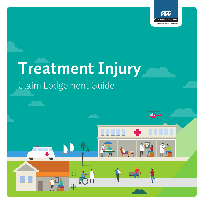

# **Treatment Injury**  Claim Lodgement Guide

부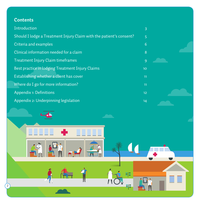# **Contents**

2

| Introduction                                                        | $\overline{3}$  |
|---------------------------------------------------------------------|-----------------|
| Should I lodge a Treatment Injury Claim with the patient's consent? | $\overline{5}$  |
| Criteria and examples                                               | 6               |
| Clinical information needed for a claim                             | 8               |
| Treatment Injury Claim timeframes                                   | $\overline{9}$  |
| Best practice in lodging Treatment Injury Claims                    | 10              |
| Establishing whether a client has cover                             | 11              |
| Where do I go for more information?                                 | 11              |
| <b>Appendix 1: Definitions</b>                                      | 12 <sub>2</sub> |
| Appendix 2: Underpinning legislation                                | 14              |

 $\blacksquare$ 

부

**EE** 

щ

 $\mathbf{r}$   $\mathbf{r}$ 

 $\boldsymbol{\eta}$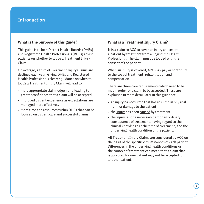# **Introduction**

#### **What is the purpose of this guide?**

This guide is to help District Health Boards (DHBs) and Registered Health Professionals (RHPs) advise patients on whether to lodge a Treatment Injury Claim.

On average, a third of Treatment Injury Claims are declined each year. Giving DHBs and Registered Health Professionals clearer guidance on when to lodge a Treatment Injury Claim will lead to:

- more appropriate claim lodgement, leading to greater confidence that a claim will be accepted
- improved patient experience as expectations are managed more effectively
- more time and resources within DHBs that can be focused on patient care and successful claims.

#### **What is a Treatment Injury Claim?**

It is a claim to ACC to cover an injury caused to a patient by treatment from a Registered Health Professional. The claim must be lodged with the consent of the patient.

When an injury is covered, ACC may pay or contribute to the cost of treatment, rehabilitation and compensation.

There are three core requirements which need to be met in order for a claim to be accepted. These are explained in more detail later in this guidance:

- an injury has occurred that has resulted in physical harm or damage to the patient
- the injury has been caused by treatment
- the injury is not a necessary part or an ordinary consequence of treatment, having regard to the clinical knowledge at the time of treatment, and the underlying health condition of the patient.

All Treatment Injury Claims are considered by ACC on the basis of the specific circumstances of each patient. Differences in the underlying health conditions or the context of treatment can mean that a claim that is accepted for one patient may not be accepted for another patient.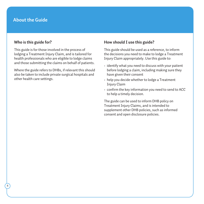# **About the Guide**

## **Who is this guide for?**

This guide is for those involved in the process of lodging a Treatment Injury Claim, and is tailored for health professionals who are eligible to lodge claims and those submitting the claims on behalf of patients.

Where the guide refers to DHBs, if relevant this should also be taken to include private surgical hospitals and other health care settings.

# **How should I use this guide?**

This guide should be used as a reference, to inform the decisions you need to make to lodge a Treatment Injury Claim appropriately. Use this guide to:

- identify what you need to discuss with your patient before lodging a claim, including making sure they have given their consent
- help you decide whether to lodge a Treatment Injury Claim
- confirm the key information you need to send to ACC to help a timely decision.

The guide can be used to inform DHB policy on Treatment Injury Claims, and is intended to supplement other DHB policies, such as informed consent and open disclosure policies.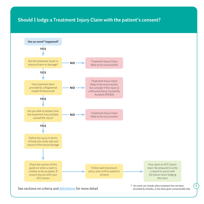# **Should I lodge a Treatment Injury Claim with the patient's consent?**



5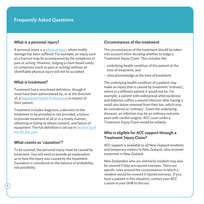## **What is a personal injury?**

A personal injury is a physical injury where bodily damage has been suffered. For example, an injury such as a fracture may be accompanied by the symptoms of pain or aching. However, lodging a claim based solely on symptoms (such as pain or aching) without an identifiable physical injury will not be accepted.

## **What is treatment?**

Treatment has a very broad definition, though it must have been administered by, or at the direction of, a Registered Health Professional in respect of their patient.

Treatment includes diagnosis, a decision on the treatment to be provided or not provided, a failure to provide treatment at all or in a timely manner, obtaining or failing to obtain consent, and failure of equipment. The full definition is set out in Section 33 of the AC Act 2001.

# **What counts as 'causation'?**

To be covered, the personal injury must be caused by treatment. You will need to provide an explanation as to how the injury was caused by the treatment. Causation is considered on the balance of probability, not possibility.

## **Circumstances of the treatment**

The circumstances of the treatment should be taken into account when deciding whether to lodge a Treatment Injury Claim. This includes the:

- underlying health condition of the patient at the time of treatment, and
- clinical knowledge at the time of treatment.

The underlying health condition of a patient may make an injury that is caused by treatment 'ordinary', where in a different patient it would not be. For example, a patient with widespread atherosclerosis and diabetes suffers a wound infection after having a small skin lesion removed from their toe, which may be considered as 'ordinary'. Given the underlying diseases, an infection may be an ordinary outcome even with careful surgery. ACC cover under a Treatment Injury Claim would be unlikely.

# **Who is eligible for ACC support through a Treatment Injury Claim?**

ACC support is available to all New Zealand residents and temporary visitors to New Zealand, who received treatment in New Zealand.

New Zealanders who are ordinarily resident may also be covered if they are injured overseas. There are specific rules around the circumstances in which a resident would be covered if injured overseas. If you have a patient in this situation, contact your ACC Liaison in your DHB to discuss.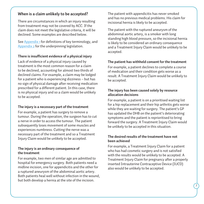# **When is a claim unlikely to be accepted?**

There are circumstances in which an injury resulting from treatment may not be covered by ACC. If the claim does not meet the legislative criteria, it will be declined. Some examples are described below.

See Appendix 1 for definitions of key terminology, and Appendix 2 for the underpinning legislation.

#### **There is insufficient evidence of a physical injury**

Lack of evidence of a physical injury caused by treatment is the most common reason for a claim to be declined, accounting for almost two thirds of declined claims. For example, a claim may be lodged for a patient who is experiencing dizziness – but has no sign of physical damage after receiving medication prescribed for a different patient. In this case, there is no physical injury and so a claim would be unlikely to be accepted.

#### **The injury is a necessary part of the treatment**

For example, a patient has surgery to remove a tumour. During the operation, the surgeon has to cut a nerve in order to access the tumour. The patient subsequently loses movement of some muscles and experiences numbness. Cutting the nerve was a necessary part of the treatment and so a Treatment Injury Claim would be unlikely to be accepted.

#### **The injury is an ordinary consequence of the treatment**

For example, two men of similar age are admitted to hospital for emergency surgery. Both patients need a midline incision, one for appendicitis and the other for a ruptured aneurysm of the abdominal aortic artery. Both patients heal well without infection in the wound, but both develop a hernia at the site of the incision.

The patient with appendicitis has never smoked and has no previous medical problems. His claim for incisional hernia is likely to be accepted.

The patient with the ruptured aneurysm of the abdominal aortic artery, is a smoker with long standing high blood pressure, so the incisional hernia is likely to be considered an ordinary consequence and a Treatment Injury Claim would be unlikely to be accepted.

#### **The patient has withheld consent for the treatment**

For example, a patient declines to complete a course of medication and their condition gets worse as a result. A Treatment Injury Claim would be unlikely to be accepted.

#### **The injury has been caused solely by resource allocation decisions**

For example, a patient is on a prioritised waiting list for a hip replacement and their hip arthritis gets worse while they are waiting for surgery. The patient's GP has updated the DHB on the patient's deteriorating symptoms and the patient is reprioritised to bring forward the surgery. A Treatment Injury Claim would be unlikely to be accepted in this situation.

#### **The desired results of the treatment have not been achieved**

For example, a Treatment Injury Claim for a patient who has had cosmetic surgery and is not satisfied with the results would be unlikely to be accepted. A Treatment Injury Claim for pregnancy after a properly inserted Intrauterine Contraceptive Device (IUCD) also would be unlikely to be accepted.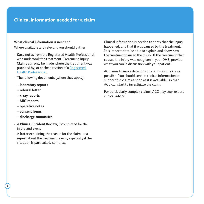#### **What clinical information is needed?**

Where available and relevant you should gather:

- **Case notes** from the Registered Health Professional who undertook the treatment. Treatment Injury Claims can only be made where the treatment was provided by, or at the direction of a Registered Health Professional.
- The following documents (where they apply):
	- **laboratory reports**
	- **referral letter**
	- **x-ray reports**
	- **MRI reports**
	- **operative notes**
	- **consent forms**
	- **discharge summaries**.
- A **Clinical Incident Review**, if completed for the injury and event
- A **letter** explaining the reason for the claim, or a **report** about the treatment event, especially if the situation is particularly complex.

Clinical information is needed to show that the injury happened, and that it was caused by the treatment. It is important to be able to explain and show **how** the treatment caused the injury. If the treatment that caused the injury was not given in your DHB, provide what you can in discussion with your patient.

ACC aims to make decisions on claims as quickly as possible. You should send in clinical information to support the claim as soon as it is available, so that ACC can start to investigate the claim.

For particularly complex claims, ACC may seek expert clinical advice.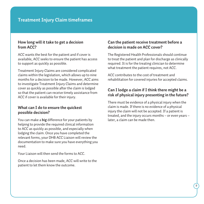# **Treatment Injury Claim timeframes**

## **How long will it take to get a decision from ACC?**

ACC wants the best for the patient and if cover is available, ACC seeks to ensure the patient has access to support as quickly as possible.

Treatment Injury Claims are considered complicated claims within the legislation, which allows up to nine months for a decision to be made. However, ACC aims to investigate Treatment Injury Claims and determine cover as quickly as possible after the claim is lodged so that the patient can receive timely assistance from ACC if cover is available for their injury.

## **What can I do to ensure the quickest possible decision?**

You can make a **big** difference for your patients by helping to provide the required clinical information to ACC as quickly as possible, and especially when lodging the claim. Once you have completed the relevant forms, your DHB ACC Liaison will review the documentation to make sure you have everything you need.

Your Liaison will then send the forms to ACC.

Once a decision has been made, ACC will write to the patient to let them know the outcome.

## **Can the patient receive treatment before a decision is made on ACC cover?**

The Registered Health Professionals should continue to treat the patient and plan for discharge as clinically required. It is for the treating clinician to determine what treatment the patient requires, not ACC.

ACC contributes to the cost of treatment and rehabilitation for covered injuries for accepted claims.

# **Can I lodge a claim if I think there might be a risk of physical injury presenting in the future?**

There must be evidence of a physical injury when the claim is made. If there is no evidence of a physical injury the claim will not be accepted. If a patient is treated, and the injury occurs months – or even years – later, a claim can be made then.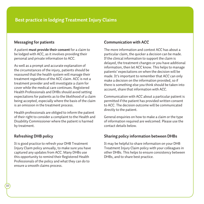## **Messaging for patients**

A patient **must provide their consent** for a claim to be lodged with ACC, as it involves providing their personal and private information to ACC.

As well as a prompt and accurate explanation of the circumstances of the injury, patients should be reassured that the health system will manage their treatment regardless of the ACC claim. ACC is not a treatment provider and will investigate a claim for cover while the medical care continues. Registered Health Professionals and DHBs should avoid setting expectations for patients as to the likelihood of a claim being accepted, especially where the basis of the claim is an omission in the treatment process.

Health professionals are obliged to inform the patient of their right to consider a complaint to the Health and Disability Commissioner where the patient is harmed by treatment.

# **Refreshing DHB policy**

It is good practice to refresh your DHB Treatment Injury Claim policy annually, to make sure you have captured any updates from ACC. Many DHBs use this opportunity to remind their Registered Health Professionals of the policy and what they can do to ensure a smooth claims process.

## **Communication with ACC**

The more information and context ACC has about a particular claim, the quicker a decision can be made. If the clinical information to support the claim is delayed, the treatment changes or you have additional information, then let ACC know. This helps to manage patients' expectations on when the decision will be made. It's important to remember that ACC can only make a decision on the information provided, so if there is something else you think should be taken into account, share that information with ACC.

Communication with ACC about a particular patient is permitted if the patient has provided written consent to ACC. The decision outcome will be communicated directly to the patient.

General enquiries on how to make a claim or the type of information required are welcomed. Please use the contact details below.

# **Sharing policy information between DHBs**

It may be helpful to share information on your DHB Treatment Injury Claim policy with your colleagues in other DHBs. This helps to ensure consistency between DHBs, and to share best practice.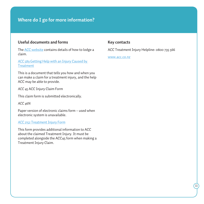# **Where do I go for more information?**

# **Useful documents and forms**

The ACC website contains details of how to lodge a claim.

*ACC 589* Getting Help with an Injury Caused by **Treatment** 

This is a document that tells you how and when you can make a claim for a treatment injury, and the help ACC may be able to provide.

*ACC 45* ACC Injury Claim Form

This claim form is submitted electronically.

*ACC 46N*

Paper version of electronic claims form – used when electronic system is unavailable.

#### *ACC 2152* Treatment Injury Form

This form provides additional information to ACC about the claimed Treatment Injury. It must be completed alongside the ACC45 form when making a Treatment Injury Claim.

#### **Key contacts**

ACC Treatment Injury Helpline: 0800 735 566

www.acc.co.nz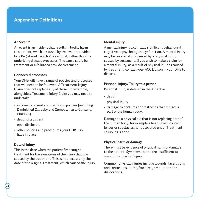# **Appendix 1: Definitions**

#### **An 'event'**

An event is an incident that results in bodily harm to a patient, which is caused by treatment provided by a Registered Health Professional, rather than the underlying disease processes. The cause could be treatment or a failure to provide treatment.

#### **Connected processes**

Your DHB will have a range of policies and processes that will need to be followed. A Treatment Injury Claim does not replace any of these. For example, alongside a Treatment Injury Claim you may need to undertake:

- informed consent standards and policies (including Diminished Capacity and Competence to Consent, Children)
- death of a patient
- open disclosure
- other policies and procedures your DHB may have in place.

#### **Date of injury**

This is the date when the patient first sought treatment for the symptoms of the injury that was caused by the treatment. This is not necessarily the date of the original treatment, which caused the injury.

#### **Mental injury**

A mental injury is a clinically significant behavioural, cognitive or psychological dysfunction. A mental injury may be covered if it is caused by a physical injury caused by treatment. If you wish to make a claim for a mental injury, as a result of physical injuries caused by treatment, contact your ACC Liaison in your DHB to discuss.

#### **Personal injury/ Injury to a person**

Personal injury is defined in the AC Act as:

- death
- physical injury
- damage to dentures or prostheses that replace a part of the human body.

Damage to a physical aid that is not replacing part of the human body, for example a hearing aid, contact lenses or spectacles, is not covered under Treatment Injury legislation.

#### **Physical harm or damage**

There must be evidence of physical harm or damage to the patient. Symptoms alone are insufficient to amount to physical injury.

Common physical injuries include wounds, lacerations and contusions, burns, fractures, amputations and dislocations.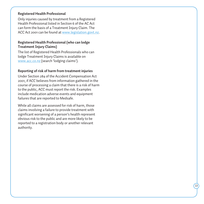#### **Registered Health Professional**

Only injuries caused by treatment from a Registered Health Professional listed in Section 6 of the AC Act can form the basis of a Treatment Injury Claim. The ACC Act 2001 can be found at www.legislation.govt.nz.

#### **Registered Health Professional (who can lodge Treatment Injury Claims)**

The list of Registered Health Professionals who can lodge Treatment Injury Claims is available on www.acc.co.nz (search 'lodging claims').

#### **Reporting of risk of harm from treatment injuries**

Under Section 284 of the Accident Compensation Act 2001, if ACC believes from information gathered in the course of processing a claim that there is a risk of harm to the public, ACC must report the risk. Examples include medication adverse events and equipment failures that are reported to Medsafe.

While all claims are assessed for risk of harm, those claims involving a failure to provide treatment with significant worsening of a person's health represent obvious risk to the public and are more likely to be reported to a registration body or another relevant authority.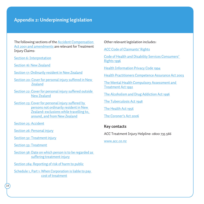# **Appendix 2: Underpinning legislation**

The following sections of the Accident Compensation Act 2001 and amendments are relevant for Treatment Injury Claims:

Section 6: Interpretation

Section 16: New Zealand

Section 17: Ordinarily resident in New Zealand

Section 20: Cover for personal injury suffered in New Zealand

Section 22: Cover for personal injury suffered outside New Zealand

Section 23: Cover for personal injury suffered by persons not ordinarily resident in New Zealand: exclusions while travelling to, around, and from New Zealand

Section 25: Accident

Section 26: Personal injury

Section 32: Treatment injury

Section 33: Treatment

Section 38: Date on which person is to be regarded as suffering treatment injury

Section 284: Reporting of risk of harm to public

Schedule 1, Part 1: When Corporation is liable to pay cost of treatment

Other relevant legislation includes:

ACC Code of Claimants' Rights

Code of Health and Disability Services Consumers' Rights 1996

Health Information Privacy Code 1994

Health Practitioners Competence Assurance Act 2003

The Mental Health Compulsory Assessment and Treatment Act 1992

The Alcoholism and Drug Addiction Act 1996

The Tuberculosis Act 1948

The Health Act 1956

The Coroner's Act 2006

#### **Key contacts**

ACC Treatment Injury Helpline: 0800 735 566

www.acc.co.nz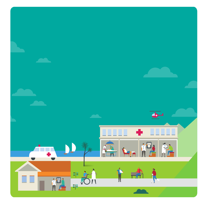